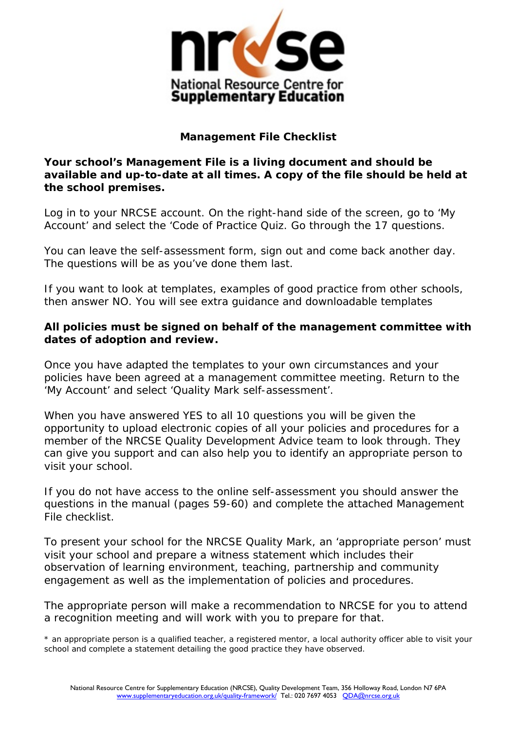

## **Management File Checklist**

**Your school's Management File is a living document and should be available and up-to-date at all times. A copy of the file should be held at the school premises.**

Log in to your NRCSE account. On the right-hand side of the screen, go to 'My Account' and select the 'Code of Practice Quiz. Go through the 17 questions.

You can leave the self-assessment form, sign out and come back another day. The questions will be as you've done them last.

If you want to look at templates, examples of good practice from other schools, then answer NO. You will see extra guidance and downloadable templates

## **All policies must be signed on behalf of the management committee with dates of adoption and review.**

Once you have adapted the templates to your own circumstances and your policies have been agreed at a management committee meeting. Return to the 'My Account' and select 'Quality Mark self-assessment'.

When you have answered YES to all 10 questions you will be given the opportunity to upload electronic copies of all your policies and procedures for a member of the NRCSE Quality Development Advice team to look through. They can give you support and can also help you to identify an appropriate person to visit your school.

If you do not have access to the online self-assessment you should answer the questions in the manual (pages 59-60) and complete the attached Management File checklist.

To present your school for the NRCSE Quality Mark, an 'appropriate person' must visit your school and prepare a witness statement which includes their observation of learning environment, teaching, partnership and community engagement as well as the implementation of policies and procedures.

The appropriate person will make a recommendation to NRCSE for you to attend a recognition meeting and will work with you to prepare for that.

\* an appropriate person is a qualified teacher, a registered mentor, a local authority officer able to visit your school and complete a statement detailing the good practice they have observed.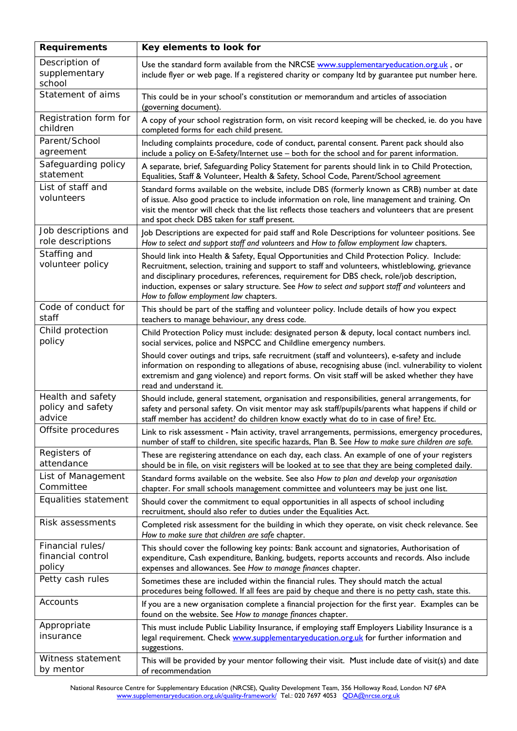| <b>Requirements</b>                              | Key elements to look for                                                                                                                                                                                                                                                                                                                                                                                                                 |  |  |
|--------------------------------------------------|------------------------------------------------------------------------------------------------------------------------------------------------------------------------------------------------------------------------------------------------------------------------------------------------------------------------------------------------------------------------------------------------------------------------------------------|--|--|
| Description of<br>supplementary<br>school        | Use the standard form available from the NRCSE www.supplementaryeducation.org.uk, or<br>include flyer or web page. If a registered charity or company ltd by guarantee put number here.                                                                                                                                                                                                                                                  |  |  |
| Statement of aims                                | This could be in your school's constitution or memorandum and articles of association<br>(governing document).                                                                                                                                                                                                                                                                                                                           |  |  |
| Registration form for<br>children                | A copy of your school registration form, on visit record keeping will be checked, ie. do you have<br>completed forms for each child present.                                                                                                                                                                                                                                                                                             |  |  |
| Parent/School<br>agreement                       | Including complaints procedure, code of conduct, parental consent. Parent pack should also<br>include a policy on E-Safety/Internet use - both for the school and for parent information.                                                                                                                                                                                                                                                |  |  |
| Safeguarding policy<br>statement                 | A separate, brief, Safeguarding Policy Statement for parents should link in to Child Protection,<br>Equalities, Staff & Volunteer, Health & Safety, School Code, Parent/School agreement                                                                                                                                                                                                                                                 |  |  |
| List of staff and<br>volunteers                  | Standard forms available on the website, include DBS (formerly known as CRB) number at date<br>of issue. Also good practice to include information on role, line management and training. On<br>visit the mentor will check that the list reflects those teachers and volunteers that are present<br>and spot check DBS taken for staff present.                                                                                         |  |  |
| Job descriptions and<br>role descriptions        | Job Descriptions are expected for paid staff and Role Descriptions for volunteer positions. See<br>How to select and support staff and volunteers and How to follow employment law chapters.                                                                                                                                                                                                                                             |  |  |
| Staffing and<br>volunteer policy                 | Should link into Health & Safety, Equal Opportunities and Child Protection Policy. Include:<br>Recruitment, selection, training and support to staff and volunteers, whistleblowing, grievance<br>and disciplinary procedures, references, requirement for DBS check, role/job description,<br>induction, expenses or salary structure. See How to select and support staff and volunteers and<br>How to follow employment law chapters. |  |  |
| Code of conduct for<br>staff                     | This should be part of the staffing and volunteer policy. Include details of how you expect<br>teachers to manage behaviour, any dress code.                                                                                                                                                                                                                                                                                             |  |  |
| Child protection<br>policy                       | Child Protection Policy must include: designated person & deputy, local contact numbers incl.<br>social services, police and NSPCC and Childline emergency numbers.                                                                                                                                                                                                                                                                      |  |  |
|                                                  | Should cover outings and trips, safe recruitment (staff and volunteers), e-safety and include<br>information on responding to allegations of abuse, recognising abuse (incl. vulnerability to violent<br>extremism and gang violence) and report forms. On visit staff will be asked whether they have<br>read and understand it.                                                                                                        |  |  |
| Health and safety<br>policy and safety<br>advice | Should include, general statement, organisation and responsibilities, general arrangements, for<br>safety and personal safety. On visit mentor may ask staff/pupils/parents what happens if child or<br>staff member has accident? do children know exactly what do to in case of fire? Etc.                                                                                                                                             |  |  |
| Offsite procedures                               | Link to risk assessment - Main activity, travel arrangements, permissions, emergency procedures,<br>number of staff to children, site specific hazards, Plan B. See How to make sure children are safe.                                                                                                                                                                                                                                  |  |  |
| Registers of<br>attendance                       | These are registering attendance on each day, each class. An example of one of your registers<br>should be in file, on visit registers will be looked at to see that they are being completed daily.                                                                                                                                                                                                                                     |  |  |
| List of Management<br>Committee                  | Standard forms available on the website. See also How to plan and develop your organisation<br>chapter. For small schools management committee and volunteers may be just one list.                                                                                                                                                                                                                                                      |  |  |
| Equalities statement                             | Should cover the commitment to equal opportunities in all aspects of school including<br>recruitment, should also refer to duties under the Equalities Act.                                                                                                                                                                                                                                                                              |  |  |
| Risk assessments                                 | Completed risk assessment for the building in which they operate, on visit check relevance. See<br>How to make sure that children are safe chapter.                                                                                                                                                                                                                                                                                      |  |  |
| Financial rules/<br>financial control<br>policy  | This should cover the following key points: Bank account and signatories, Authorisation of<br>expenditure, Cash expenditure, Banking, budgets, reports accounts and records. Also include<br>expenses and allowances. See How to manage finances chapter.                                                                                                                                                                                |  |  |
| Petty cash rules                                 | Sometimes these are included within the financial rules. They should match the actual<br>procedures being followed. If all fees are paid by cheque and there is no petty cash, state this.                                                                                                                                                                                                                                               |  |  |
| Accounts                                         | If you are a new organisation complete a financial projection for the first year. Examples can be<br>found on the website. See How to manage finances chapter.                                                                                                                                                                                                                                                                           |  |  |
| Appropriate<br>insurance                         | This must include Public Liability Insurance, if employing staff Employers Liability Insurance is a<br>legal requirement. Check www.supplementaryeducation.org.uk for further information and<br>suggestions.                                                                                                                                                                                                                            |  |  |
| Witness statement<br>by mentor                   | This will be provided by your mentor following their visit. Must include date of visit(s) and date<br>of recommendation                                                                                                                                                                                                                                                                                                                  |  |  |

National Resource Centre for Supplementary Education (NRCSE), Quality Development Team, 356 Holloway Road, London N7 6PA [www.supplementaryeducation.org.uk/quality-framework/](http://www.supplementaryeducation.org.uk/quality-framework/) Tel.: 020 7697 4053 [QDA@nrcse.org.uk](mailto:QDA@nrcse.org.uk)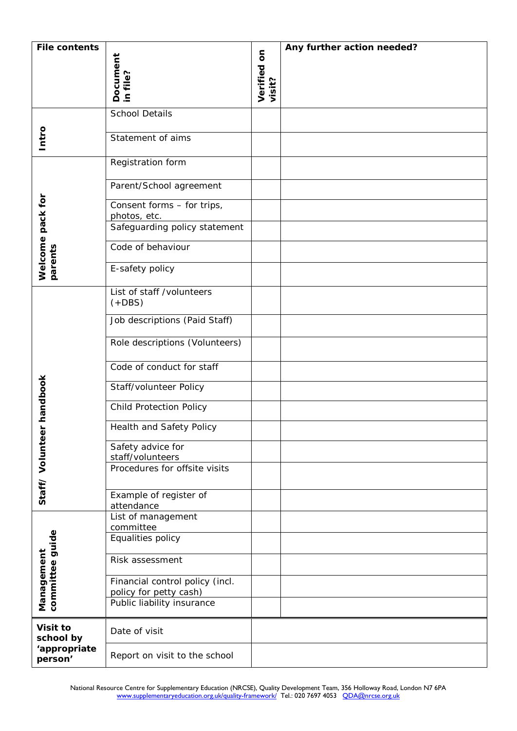| <b>File contents</b>                                         |                                                      |                     | Any further action needed? |
|--------------------------------------------------------------|------------------------------------------------------|---------------------|----------------------------|
|                                                              |                                                      | $\overline{\bf{5}}$ |                            |
|                                                              |                                                      |                     |                            |
|                                                              | Document<br>in file?                                 | Verified<br>visit?  |                            |
|                                                              |                                                      |                     |                            |
|                                                              | <b>School Details</b>                                |                     |                            |
|                                                              | Statement of aims                                    |                     |                            |
| Intro                                                        |                                                      |                     |                            |
|                                                              | Registration form                                    |                     |                            |
|                                                              |                                                      |                     |                            |
| Welcome pack for<br>parents                                  | Parent/School agreement                              |                     |                            |
|                                                              | Consent forms - for trips,                           |                     |                            |
|                                                              | photos, etc.                                         |                     |                            |
|                                                              | Safeguarding policy statement                        |                     |                            |
|                                                              | Code of behaviour                                    |                     |                            |
|                                                              | E-safety policy                                      |                     |                            |
|                                                              |                                                      |                     |                            |
| handbook<br>Staff/Volunteer<br>committee guide<br>Management | List of staff /volunteers                            |                     |                            |
|                                                              | $(+DBS)$                                             |                     |                            |
|                                                              | Job descriptions (Paid Staff)                        |                     |                            |
|                                                              |                                                      |                     |                            |
|                                                              | Role descriptions (Volunteers)                       |                     |                            |
|                                                              | Code of conduct for staff                            |                     |                            |
|                                                              |                                                      |                     |                            |
|                                                              | Staff/volunteer Policy                               |                     |                            |
|                                                              | <b>Child Protection Policy</b>                       |                     |                            |
|                                                              | Health and Safety Policy                             |                     |                            |
|                                                              | Safety advice for                                    |                     |                            |
|                                                              | staff/volunteers                                     |                     |                            |
|                                                              | Procedures for offsite visits                        |                     |                            |
|                                                              |                                                      |                     |                            |
|                                                              | Example of register of                               |                     |                            |
|                                                              | attendance<br>List of management                     |                     |                            |
|                                                              | committee                                            |                     |                            |
|                                                              | Equalities policy                                    |                     |                            |
|                                                              | Risk assessment                                      |                     |                            |
|                                                              |                                                      |                     |                            |
|                                                              | Financial control policy (incl.                      |                     |                            |
|                                                              | policy for petty cash)<br>Public liability insurance |                     |                            |
|                                                              |                                                      |                     |                            |
| Visit to                                                     | Date of visit                                        |                     |                            |
| school by<br>'appropriate                                    |                                                      |                     |                            |
| person'                                                      | Report on visit to the school                        |                     |                            |